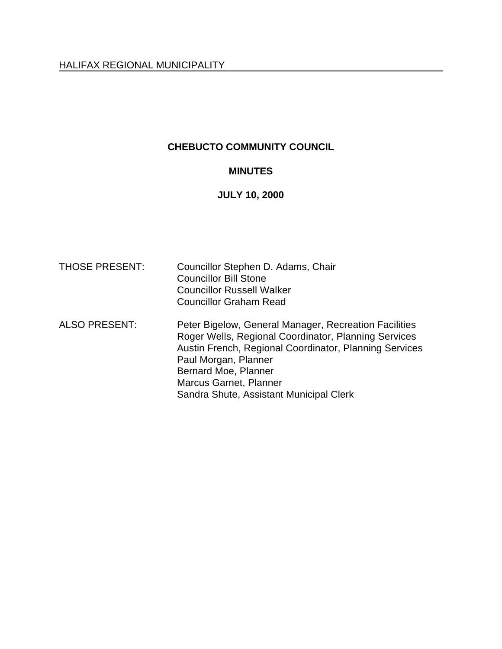# **CHEBUCTO COMMUNITY COUNCIL**

# **MINUTES**

# **JULY 10, 2000**

| <b>THOSE PRESENT:</b> | Councillor Stephen D. Adams, Chair<br><b>Councillor Bill Stone</b><br><b>Councillor Russell Walker</b><br><b>Councillor Graham Read</b>                                                                                                                                                      |
|-----------------------|----------------------------------------------------------------------------------------------------------------------------------------------------------------------------------------------------------------------------------------------------------------------------------------------|
| <b>ALSO PRESENT:</b>  | Peter Bigelow, General Manager, Recreation Facilities<br>Roger Wells, Regional Coordinator, Planning Services<br>Austin French, Regional Coordinator, Planning Services<br>Paul Morgan, Planner<br>Bernard Moe, Planner<br>Marcus Garnet, Planner<br>Sandra Shute, Assistant Municipal Clerk |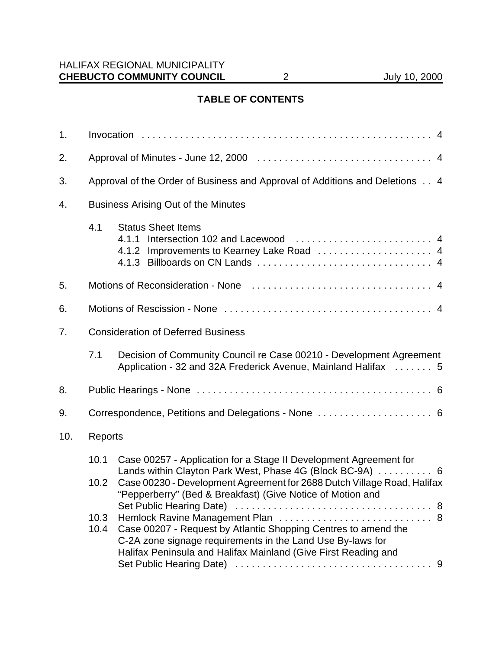# **TABLE OF CONTENTS**

| 1.  |                                                                             |                                                                                                                                                                                                                                     |
|-----|-----------------------------------------------------------------------------|-------------------------------------------------------------------------------------------------------------------------------------------------------------------------------------------------------------------------------------|
| 2.  |                                                                             |                                                                                                                                                                                                                                     |
| 3.  | Approval of the Order of Business and Approval of Additions and Deletions 4 |                                                                                                                                                                                                                                     |
| 4.  | <b>Business Arising Out of the Minutes</b>                                  |                                                                                                                                                                                                                                     |
|     | 4.1                                                                         | <b>Status Sheet Items</b>                                                                                                                                                                                                           |
| 5.  |                                                                             |                                                                                                                                                                                                                                     |
| 6.  |                                                                             |                                                                                                                                                                                                                                     |
| 7.  | <b>Consideration of Deferred Business</b>                                   |                                                                                                                                                                                                                                     |
|     | 7.1                                                                         | Decision of Community Council re Case 00210 - Development Agreement<br>Application - 32 and 32A Frederick Avenue, Mainland Halifax  5                                                                                               |
| 8.  |                                                                             |                                                                                                                                                                                                                                     |
| 9.  |                                                                             | Correspondence, Petitions and Delegations - None  6                                                                                                                                                                                 |
| 10. | Reports                                                                     |                                                                                                                                                                                                                                     |
|     | 10.1                                                                        | Case 00257 - Application for a Stage II Development Agreement for                                                                                                                                                                   |
|     | 10.2                                                                        | Lands within Clayton Park West, Phase 4G (Block BC-9A)  6<br>Case 00230 - Development Agreement for 2688 Dutch Village Road, Halifax<br>"Pepperberry" (Bed & Breakfast) (Give Notice of Motion and                                  |
|     | 10.3<br>10.4                                                                | Hemlock Ravine Management Plan  8<br>Case 00207 - Request by Atlantic Shopping Centres to amend the<br>C-2A zone signage requirements in the Land Use By-laws for<br>Halifax Peninsula and Halifax Mainland (Give First Reading and |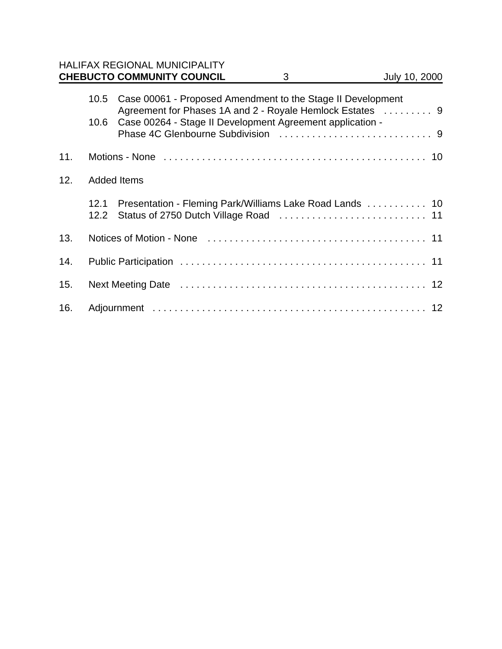|     |                    | <b>HALIFAX REGIONAL MUNICIPALITY</b><br><b>CHEBUCTO COMMUNITY COUNCIL</b>                                                | 3 | July 10, 2000 |
|-----|--------------------|--------------------------------------------------------------------------------------------------------------------------|---|---------------|
|     |                    |                                                                                                                          |   |               |
|     | 10.5               | Case 00061 - Proposed Amendment to the Stage II Development<br>Agreement for Phases 1A and 2 - Royale Hemlock Estates  9 |   |               |
|     | 10.6               | Case 00264 - Stage II Development Agreement application -                                                                |   |               |
| 11. |                    |                                                                                                                          |   |               |
| 12. | <b>Added Items</b> |                                                                                                                          |   |               |
|     | 12.1<br>12.2       | Presentation - Fleming Park/Williams Lake Road Lands  10                                                                 |   |               |
| 13. |                    |                                                                                                                          |   |               |
| 14. |                    |                                                                                                                          |   |               |
| 15. |                    |                                                                                                                          |   |               |
| 16. |                    |                                                                                                                          |   |               |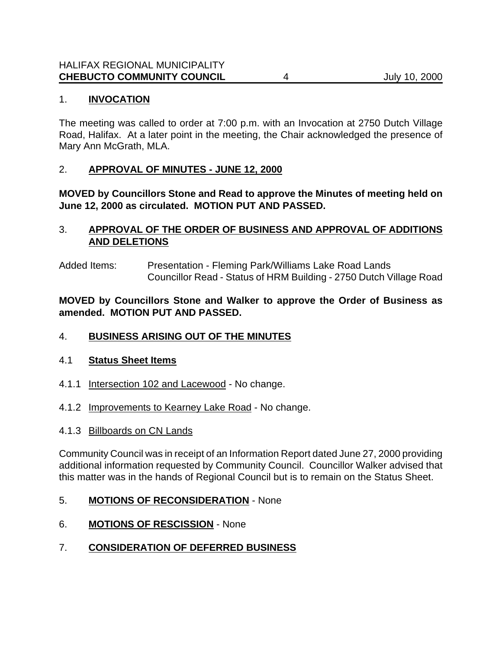## 1. **INVOCATION**

The meeting was called to order at 7:00 p.m. with an Invocation at 2750 Dutch Village Road, Halifax. At a later point in the meeting, the Chair acknowledged the presence of Mary Ann McGrath, MLA.

## 2. **APPROVAL OF MINUTES - JUNE 12, 2000**

**MOVED by Councillors Stone and Read to approve the Minutes of meeting held on June 12, 2000 as circulated. MOTION PUT AND PASSED.**

## 3. **APPROVAL OF THE ORDER OF BUSINESS AND APPROVAL OF ADDITIONS AND DELETIONS**

Added Items: Presentation - Fleming Park/Williams Lake Road Lands Councillor Read - Status of HRM Building - 2750 Dutch Village Road

**MOVED by Councillors Stone and Walker to approve the Order of Business as amended. MOTION PUT AND PASSED.**

#### 4. **BUSINESS ARISING OUT OF THE MINUTES**

#### 4.1 **Status Sheet Items**

- 4.1.1 Intersection 102 and Lacewood No change.
- 4.1.2 Improvements to Kearney Lake Road No change.
- 4.1.3 Billboards on CN Lands

Community Council was in receipt of an Information Report dated June 27, 2000 providing additional information requested by Community Council. Councillor Walker advised that this matter was in the hands of Regional Council but is to remain on the Status Sheet.

- 5. **MOTIONS OF RECONSIDERATION** None
- 6. **MOTIONS OF RESCISSION** None
- 7. **CONSIDERATION OF DEFERRED BUSINESS**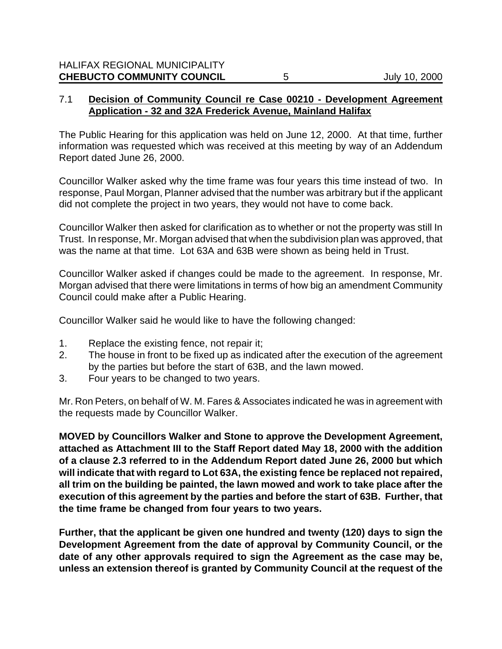## 7.1 **Decision of Community Council re Case 00210 - Development Agreement Application - 32 and 32A Frederick Avenue, Mainland Halifax**

The Public Hearing for this application was held on June 12, 2000. At that time, further information was requested which was received at this meeting by way of an Addendum Report dated June 26, 2000.

Councillor Walker asked why the time frame was four years this time instead of two. In response, Paul Morgan, Planner advised that the number was arbitrary but if the applicant did not complete the project in two years, they would not have to come back.

Councillor Walker then asked for clarification as to whether or not the property was still In Trust. In response, Mr. Morgan advised that when the subdivision plan was approved, that was the name at that time. Lot 63A and 63B were shown as being held in Trust.

Councillor Walker asked if changes could be made to the agreement. In response, Mr. Morgan advised that there were limitations in terms of how big an amendment Community Council could make after a Public Hearing.

Councillor Walker said he would like to have the following changed:

- 1. Replace the existing fence, not repair it;
- 2. The house in front to be fixed up as indicated after the execution of the agreement by the parties but before the start of 63B, and the lawn mowed.
- 3. Four years to be changed to two years.

Mr. Ron Peters, on behalf of W. M. Fares & Associates indicated he was in agreement with the requests made by Councillor Walker.

**MOVED by Councillors Walker and Stone to approve the Development Agreement, attached as Attachment III to the Staff Report dated May 18, 2000 with the addition of a clause 2.3 referred to in the Addendum Report dated June 26, 2000 but which will indicate that with regard to Lot 63A, the existing fence be replaced not repaired, all trim on the building be painted, the lawn mowed and work to take place after the execution of this agreement by the parties and before the start of 63B. Further, that the time frame be changed from four years to two years.**

**Further, that the applicant be given one hundred and twenty (120) days to sign the Development Agreement from the date of approval by Community Council, or the date of any other approvals required to sign the Agreement as the case may be, unless an extension thereof is granted by Community Council at the request of the**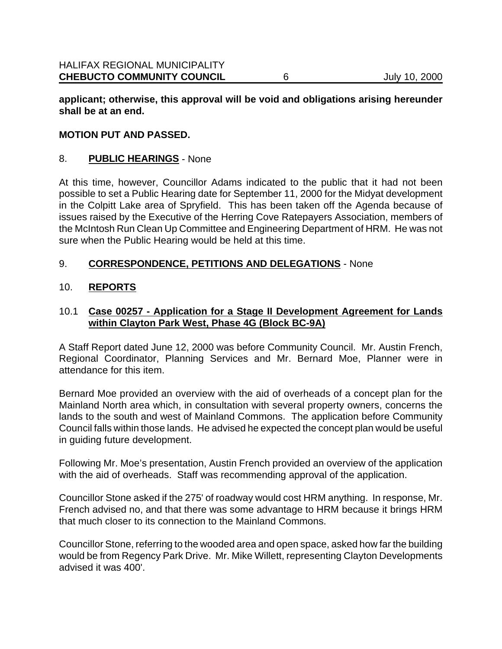**applicant; otherwise, this approval will be void and obligations arising hereunder shall be at an end.**

#### **MOTION PUT AND PASSED.**

#### 8. **PUBLIC HEARINGS** - None

At this time, however, Councillor Adams indicated to the public that it had not been possible to set a Public Hearing date for September 11, 2000 for the Midyat development in the Colpitt Lake area of Spryfield. This has been taken off the Agenda because of issues raised by the Executive of the Herring Cove Ratepayers Association, members of the McIntosh Run Clean Up Committee and Engineering Department of HRM. He was not sure when the Public Hearing would be held at this time.

#### 9. **CORRESPONDENCE, PETITIONS AND DELEGATIONS** - None

#### 10. **REPORTS**

## 10.1 **Case 00257 - Application for a Stage II Development Agreement for Lands within Clayton Park West, Phase 4G (Block BC-9A)**

A Staff Report dated June 12, 2000 was before Community Council. Mr. Austin French, Regional Coordinator, Planning Services and Mr. Bernard Moe, Planner were in attendance for this item.

Bernard Moe provided an overview with the aid of overheads of a concept plan for the Mainland North area which, in consultation with several property owners, concerns the lands to the south and west of Mainland Commons. The application before Community Council falls within those lands. He advised he expected the concept plan would be useful in guiding future development.

Following Mr. Moe's presentation, Austin French provided an overview of the application with the aid of overheads. Staff was recommending approval of the application.

Councillor Stone asked if the 275' of roadway would cost HRM anything. In response, Mr. French advised no, and that there was some advantage to HRM because it brings HRM that much closer to its connection to the Mainland Commons.

Councillor Stone, referring to the wooded area and open space, asked how far the building would be from Regency Park Drive. Mr. Mike Willett, representing Clayton Developments advised it was 400'.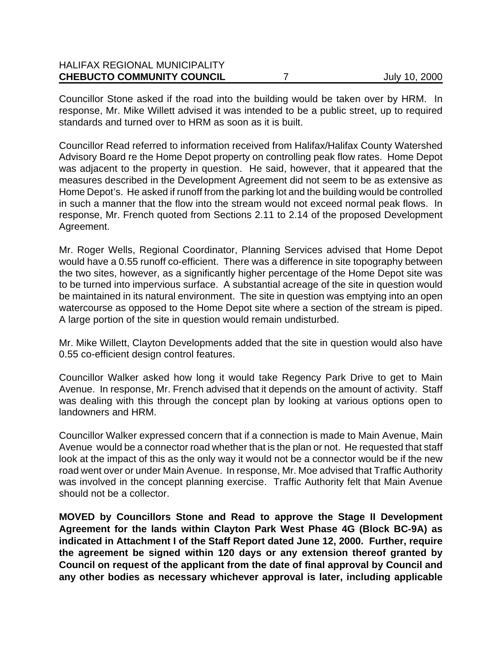| <b>CHEBUCTO COMMUNITY COUNCIL</b>    | July 10, 2000 |
|--------------------------------------|---------------|
| <b>HALIFAX REGIONAL MUNICIPALITY</b> |               |

Councillor Stone asked if the road into the building would be taken over by HRM. In response, Mr. Mike Willett advised it was intended to be a public street, up to required standards and turned over to HRM as soon as it is built.

Councillor Read referred to information received from Halifax/Halifax County Watershed Advisory Board re the Home Depot property on controlling peak flow rates. Home Depot was adjacent to the property in question. He said, however, that it appeared that the measures described in the Development Agreement did not seem to be as extensive as Home Depot's. He asked if runoff from the parking lot and the building would be controlled in such a manner that the flow into the stream would not exceed normal peak flows. In response, Mr. French quoted from Sections 2.11 to 2.14 of the proposed Development Agreement.

Mr. Roger Wells, Regional Coordinator, Planning Services advised that Home Depot would have a 0.55 runoff co-efficient. There was a difference in site topography between the two sites, however, as a significantly higher percentage of the Home Depot site was to be turned into impervious surface. A substantial acreage of the site in question would be maintained in its natural environment. The site in question was emptying into an open watercourse as opposed to the Home Depot site where a section of the stream is piped. A large portion of the site in question would remain undisturbed.

Mr. Mike Willett, Clayton Developments added that the site in question would also have 0.55 co-efficient design control features.

Councillor Walker asked how long it would take Regency Park Drive to get to Main Avenue. In response, Mr. French advised that it depends on the amount of activity. Staff was dealing with this through the concept plan by looking at various options open to landowners and HRM.

Councillor Walker expressed concern that if a connection is made to Main Avenue, Main Avenue would be a connector road whether that is the plan or not. He requested that staff look at the impact of this as the only way it would not be a connector would be if the new road went over or under Main Avenue. In response, Mr. Moe advised that Traffic Authority was involved in the concept planning exercise. Traffic Authority felt that Main Avenue should not be a collector.

**MOVED by Councillors Stone and Read to approve the Stage II Development Agreement for the lands within Clayton Park West Phase 4G (Block BC-9A) as indicated in Attachment I of the Staff Report dated June 12, 2000. Further, require the agreement be signed within 120 days or any extension thereof granted by Council on request of the applicant from the date of final approval by Council and any other bodies as necessary whichever approval is later, including applicable**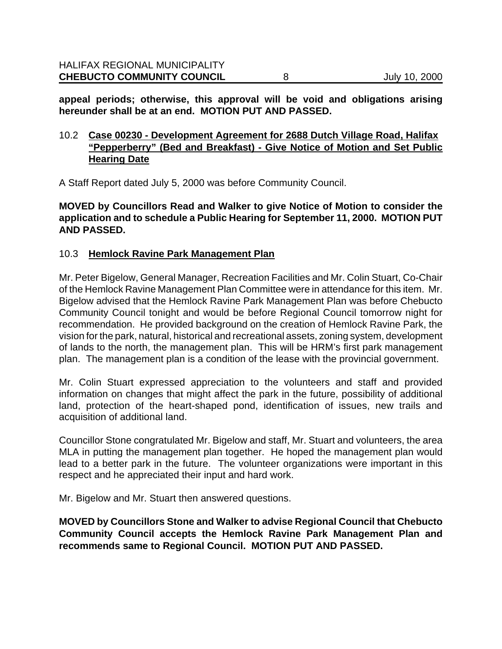**appeal periods; otherwise, this approval will be void and obligations arising hereunder shall be at an end. MOTION PUT AND PASSED.**

## 10.2 **Case 00230 - Development Agreement for 2688 Dutch Village Road, Halifax "Pepperberry" (Bed and Breakfast) - Give Notice of Motion and Set Public Hearing Date**

A Staff Report dated July 5, 2000 was before Community Council.

**MOVED by Councillors Read and Walker to give Notice of Motion to consider the application and to schedule a Public Hearing for September 11, 2000. MOTION PUT AND PASSED.**

#### 10.3 **Hemlock Ravine Park Management Plan**

Mr. Peter Bigelow, General Manager, Recreation Facilities and Mr. Colin Stuart, Co-Chair of the Hemlock Ravine Management Plan Committee were in attendance for this item. Mr. Bigelow advised that the Hemlock Ravine Park Management Plan was before Chebucto Community Council tonight and would be before Regional Council tomorrow night for recommendation. He provided background on the creation of Hemlock Ravine Park, the vision for the park, natural, historical and recreational assets, zoning system, development of lands to the north, the management plan. This will be HRM's first park management plan. The management plan is a condition of the lease with the provincial government.

Mr. Colin Stuart expressed appreciation to the volunteers and staff and provided information on changes that might affect the park in the future, possibility of additional land, protection of the heart-shaped pond, identification of issues, new trails and acquisition of additional land.

Councillor Stone congratulated Mr. Bigelow and staff, Mr. Stuart and volunteers, the area MLA in putting the management plan together. He hoped the management plan would lead to a better park in the future. The volunteer organizations were important in this respect and he appreciated their input and hard work.

Mr. Bigelow and Mr. Stuart then answered questions.

**MOVED by Councillors Stone and Walker to advise Regional Council that Chebucto Community Council accepts the Hemlock Ravine Park Management Plan and recommends same to Regional Council. MOTION PUT AND PASSED.**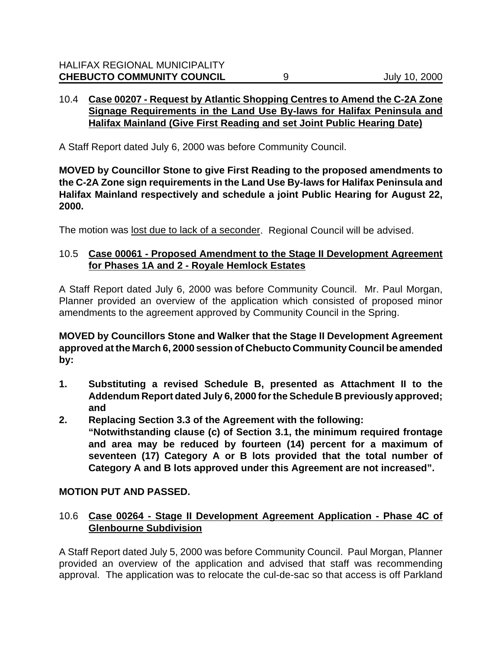## 10.4 **Case 00207 - Request by Atlantic Shopping Centres to Amend the C-2A Zone Signage Requirements in the Land Use By-laws for Halifax Peninsula and Halifax Mainland (Give First Reading and set Joint Public Hearing Date)**

A Staff Report dated July 6, 2000 was before Community Council.

**MOVED by Councillor Stone to give First Reading to the proposed amendments to the C-2A Zone sign requirements in the Land Use By-laws for Halifax Peninsula and Halifax Mainland respectively and schedule a joint Public Hearing for August 22, 2000.**

The motion was lost due to lack of a seconder. Regional Council will be advised.

# 10.5 **Case 00061 - Proposed Amendment to the Stage II Development Agreement for Phases 1A and 2 - Royale Hemlock Estates**

A Staff Report dated July 6, 2000 was before Community Council. Mr. Paul Morgan, Planner provided an overview of the application which consisted of proposed minor amendments to the agreement approved by Community Council in the Spring.

**MOVED by Councillors Stone and Walker that the Stage II Development Agreement approved at the March 6, 2000 session of Chebucto Community Council be amended by:**

- **1. Substituting a revised Schedule B, presented as Attachment II to the Addendum Report dated July 6, 2000 for the Schedule B previously approved; and**
- **2. Replacing Section 3.3 of the Agreement with the following: "Notwithstanding clause (c) of Section 3.1, the minimum required frontage and area may be reduced by fourteen (14) percent for a maximum of seventeen (17) Category A or B lots provided that the total number of Category A and B lots approved under this Agreement are not increased".**

# **MOTION PUT AND PASSED.**

# 10.6 **Case 00264 - Stage II Development Agreement Application - Phase 4C of Glenbourne Subdivision**

A Staff Report dated July 5, 2000 was before Community Council. Paul Morgan, Planner provided an overview of the application and advised that staff was recommending approval. The application was to relocate the cul-de-sac so that access is off Parkland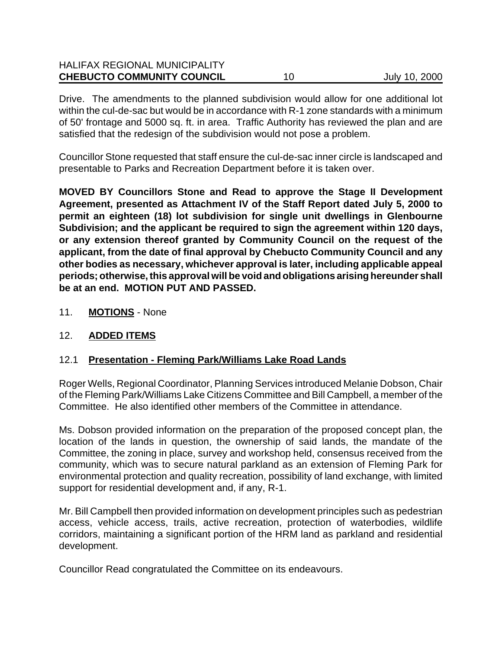| <b>CHEBUCTO COMMUNITY COUNCIL</b>    | July 10, 2000 |
|--------------------------------------|---------------|
| <b>HALIFAX REGIONAL MUNICIPALITY</b> |               |

Drive. The amendments to the planned subdivision would allow for one additional lot within the cul-de-sac but would be in accordance with R-1 zone standards with a minimum of 50' frontage and 5000 sq. ft. in area. Traffic Authority has reviewed the plan and are satisfied that the redesign of the subdivision would not pose a problem.

Councillor Stone requested that staff ensure the cul-de-sac inner circle is landscaped and presentable to Parks and Recreation Department before it is taken over.

**MOVED BY Councillors Stone and Read to approve the Stage II Development Agreement, presented as Attachment IV of the Staff Report dated July 5, 2000 to permit an eighteen (18) lot subdivision for single unit dwellings in Glenbourne Subdivision; and the applicant be required to sign the agreement within 120 days, or any extension thereof granted by Community Council on the request of the applicant, from the date of final approval by Chebucto Community Council and any other bodies as necessary, whichever approval is later, including applicable appeal periods; otherwise, this approval will be void and obligations arising hereunder shall be at an end. MOTION PUT AND PASSED.**

11. **MOTIONS** - None

#### 12. **ADDED ITEMS**

#### 12.1 **Presentation - Fleming Park/Williams Lake Road Lands**

Roger Wells, Regional Coordinator, Planning Services introduced Melanie Dobson, Chair of the Fleming Park/Williams Lake Citizens Committee and Bill Campbell, a member of the Committee. He also identified other members of the Committee in attendance.

Ms. Dobson provided information on the preparation of the proposed concept plan, the location of the lands in question, the ownership of said lands, the mandate of the Committee, the zoning in place, survey and workshop held, consensus received from the community, which was to secure natural parkland as an extension of Fleming Park for environmental protection and quality recreation, possibility of land exchange, with limited support for residential development and, if any, R-1.

Mr. Bill Campbell then provided information on development principles such as pedestrian access, vehicle access, trails, active recreation, protection of waterbodies, wildlife corridors, maintaining a significant portion of the HRM land as parkland and residential development.

Councillor Read congratulated the Committee on its endeavours.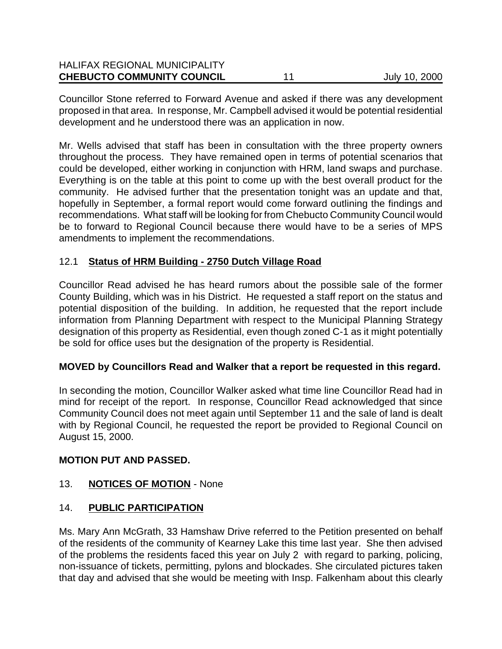| <b>CHEBUCTO COMMUNITY COUNCIL</b>    | July 10, 2000 |
|--------------------------------------|---------------|
| <b>HALIFAX REGIONAL MUNICIPALITY</b> |               |

Councillor Stone referred to Forward Avenue and asked if there was any development proposed in that area. In response, Mr. Campbell advised it would be potential residential development and he understood there was an application in now.

Mr. Wells advised that staff has been in consultation with the three property owners throughout the process. They have remained open in terms of potential scenarios that could be developed, either working in conjunction with HRM, land swaps and purchase. Everything is on the table at this point to come up with the best overall product for the community. He advised further that the presentation tonight was an update and that, hopefully in September, a formal report would come forward outlining the findings and recommendations. What staff will be looking for from Chebucto Community Council would be to forward to Regional Council because there would have to be a series of MPS amendments to implement the recommendations.

## 12.1 **Status of HRM Building - 2750 Dutch Village Road**

Councillor Read advised he has heard rumors about the possible sale of the former County Building, which was in his District. He requested a staff report on the status and potential disposition of the building. In addition, he requested that the report include information from Planning Department with respect to the Municipal Planning Strategy designation of this property as Residential, even though zoned C-1 as it might potentially be sold for office uses but the designation of the property is Residential.

#### **MOVED by Councillors Read and Walker that a report be requested in this regard.**

In seconding the motion, Councillor Walker asked what time line Councillor Read had in mind for receipt of the report. In response, Councillor Read acknowledged that since Community Council does not meet again until September 11 and the sale of land is dealt with by Regional Council, he requested the report be provided to Regional Council on August 15, 2000.

#### **MOTION PUT AND PASSED.**

# 13. **NOTICES OF MOTION** - None

#### 14. **PUBLIC PARTICIPATION**

Ms. Mary Ann McGrath, 33 Hamshaw Drive referred to the Petition presented on behalf of the residents of the community of Kearney Lake this time last year. She then advised of the problems the residents faced this year on July 2 with regard to parking, policing, non-issuance of tickets, permitting, pylons and blockades. She circulated pictures taken that day and advised that she would be meeting with Insp. Falkenham about this clearly